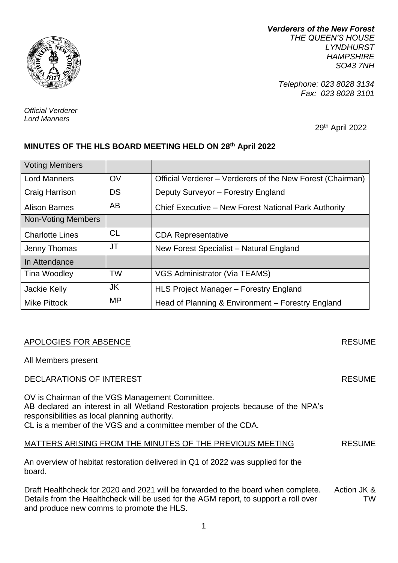

*Verderers of the New Forest THE QUEEN'S HOUSE LYNDHURST HAMPSHIRE SO43 7NH*

*Telephone: 023 8028 3134 Fax: 023 8028 3101*

*Official Verderer Lord Manners*

## 29th April 2022

RESUME

RESUME

# **MINUTES OF THE HLS BOARD MEETING HELD ON 28th April 2022**

| <b>Voting Members</b>     |           |                                                            |
|---------------------------|-----------|------------------------------------------------------------|
| <b>Lord Manners</b>       | OV        | Official Verderer – Verderers of the New Forest (Chairman) |
| Craig Harrison            | <b>DS</b> | Deputy Surveyor - Forestry England                         |
| <b>Alison Barnes</b>      | AB        | Chief Executive – New Forest National Park Authority       |
| <b>Non-Voting Members</b> |           |                                                            |
| <b>Charlotte Lines</b>    | CL        | <b>CDA Representative</b>                                  |
| Jenny Thomas              | JT        | New Forest Specialist - Natural England                    |
| In Attendance             |           |                                                            |
| Tina Woodley              | <b>TW</b> | VGS Administrator (Via TEAMS)                              |
| <b>Jackie Kelly</b>       | JK        | HLS Project Manager - Forestry England                     |
| <b>Mike Pittock</b>       | <b>MP</b> | Head of Planning & Environment – Forestry England          |

# APOLOGIES FOR ABSENCE

All Members present

## DECLARATIONS OF INTEREST

OV is Chairman of the VGS Management Committee. AB declared an interest in all Wetland Restoration projects because of the NPA's responsibilities as local planning authority. CL is a member of the VGS and a committee member of the CDA.

#### MATTERS ARISING FROM THE MINUTES OF THE PREVIOUS MEETING RESUME

An overview of habitat restoration delivered in Q1 of 2022 was supplied for the board.

Draft Healthcheck for 2020 and 2021 will be forwarded to the board when complete. Details from the Healthcheck will be used for the AGM report, to support a roll over and produce new comms to promote the HLS. Action JK & TW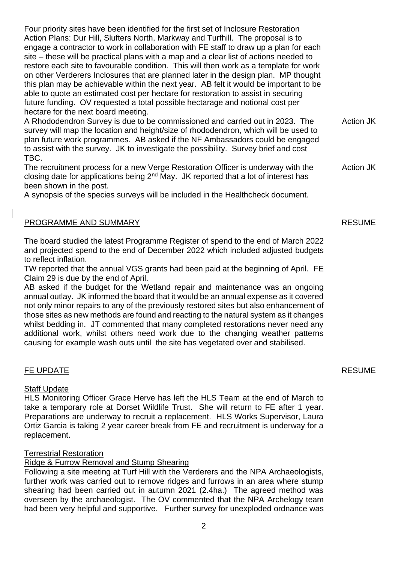Four priority sites have been identified for the first set of Inclosure Restoration Action Plans: Dur Hill, Slufters North, Markway and Turfhill. The proposal is to engage a contractor to work in collaboration with FE staff to draw up a plan for each site – these will be practical plans with a map and a clear list of actions needed to restore each site to favourable condition. This will then work as a template for work on other Verderers Inclosures that are planned later in the design plan. MP thought this plan may be achievable within the next year. AB felt it would be important to be able to quote an estimated cost per hectare for restoration to assist in securing future funding. OV requested a total possible hectarage and notional cost per hectare for the next board meeting.

A Rhododendron Survey is due to be commissioned and carried out in 2023. The survey will map the location and height/size of rhododendron, which will be used to plan future work programmes. AB asked if the NF Ambassadors could be engaged to assist with the survey. JK to investigate the possibility. Survey brief and cost TBC. Action JK

The recruitment process for a new Verge Restoration Officer is underway with the closing date for applications being 2nd May. JK reported that a lot of interest has been shown in the post. Action JK

A synopsis of the species surveys will be included in the Healthcheck document.

# PROGRAMME AND SUMMARY

The board studied the latest Programme Register of spend to the end of March 2022 and projected spend to the end of December 2022 which included adjusted budgets to reflect inflation.

TW reported that the annual VGS grants had been paid at the beginning of April. FE Claim 29 is due by the end of April.

AB asked if the budget for the Wetland repair and maintenance was an ongoing annual outlay. JK informed the board that it would be an annual expense as it covered not only minor repairs to any of the previously restored sites but also enhancement of those sites as new methods are found and reacting to the natural system as it changes whilst bedding in. JT commented that many completed restorations never need any additional work, whilst others need work due to the changing weather patterns causing for example wash outs until the site has vegetated over and stabilised.

# FE UPDATE

## Staff Update

HLS Monitoring Officer Grace Herve has left the HLS Team at the end of March to take a temporary role at Dorset Wildlife Trust. She will return to FE after 1 year. Preparations are underway to recruit a replacement. HLS Works Supervisor, Laura Ortiz Garcia is taking 2 year career break from FE and recruitment is underway for a replacement.

## Terrestrial Restoration

## Ridge & Furrow Removal and Stump Shearing

Following a site meeting at Turf Hill with the Verderers and the NPA Archaeologists, further work was carried out to remove ridges and furrows in an area where stump shearing had been carried out in autumn 2021 (2.4ha.) The agreed method was overseen by the archaeologist. The OV commented that the NPA Archelogy team had been very helpful and supportive. Further survey for unexploded ordnance was

## **RESUME**

RESUME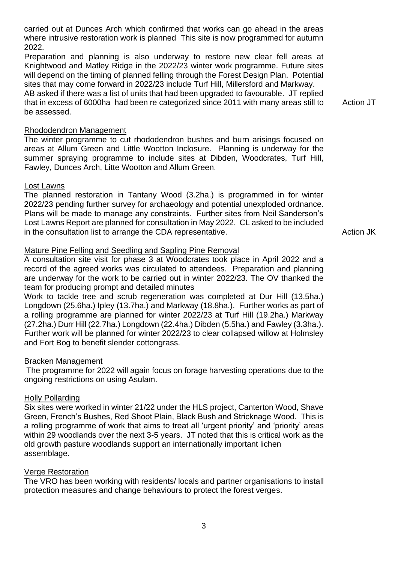carried out at Dunces Arch which confirmed that works can go ahead in the areas where intrusive restoration work is planned This site is now programmed for autumn 2022.

Preparation and planning is also underway to restore new clear fell areas at Knightwood and Matley Ridge in the 2022/23 winter work programme. Future sites will depend on the timing of planned felling through the Forest Design Plan. Potential sites that may come forward in 2022/23 include Turf Hill, Millersford and Markway. AB asked if there was a list of units that had been upgraded to favourable. JT replied

that in excess of 6000ha had been re categorized since 2011 with many areas still to be assessed.

#### Rhododendron Management

The winter programme to cut rhododendron bushes and burn arisings focused on areas at Allum Green and Little Wootton Inclosure. Planning is underway for the summer spraying programme to include sites at Dibden, Woodcrates, Turf Hill, Fawley, Dunces Arch, Litte Wootton and Allum Green.

#### Lost Lawns

The planned restoration in Tantany Wood (3.2ha.) is programmed in for winter 2022/23 pending further survey for archaeology and potential unexploded ordnance. Plans will be made to manage any constraints. Further sites from Neil Sanderson's Lost Lawns Report are planned for consultation in May 2022. CL asked to be included in the consultation list to arrange the CDA representative.

Action JK

Action JT

#### Mature Pine Felling and Seedling and Sapling Pine Removal

A consultation site visit for phase 3 at Woodcrates took place in April 2022 and a record of the agreed works was circulated to attendees. Preparation and planning are underway for the work to be carried out in winter 2022/23. The OV thanked the team for producing prompt and detailed minutes

Work to tackle tree and scrub regeneration was completed at Dur Hill (13.5ha.) Longdown (25.6ha.) Ipley (13.7ha.) and Markway (18.8ha.). Further works as part of a rolling programme are planned for winter 2022/23 at Turf Hill (19.2ha.) Markway (27.2ha.) Durr Hill (22.7ha.) Longdown (22.4ha.) Dibden (5.5ha.) and Fawley (3.3ha.). Further work will be planned for winter 2022/23 to clear collapsed willow at Holmsley and Fort Bog to benefit slender cottongrass.

## Bracken Management

The programme for 2022 will again focus on forage harvesting operations due to the ongoing restrictions on using Asulam.

#### Holly Pollarding

Six sites were worked in winter 21/22 under the HLS project, Canterton Wood, Shave Green, French's Bushes, Red Shoot Plain, Black Bush and Stricknage Wood. This is a rolling programme of work that aims to treat all 'urgent priority' and 'priority' areas within 29 woodlands over the next 3-5 years. JT noted that this is critical work as the old growth pasture woodlands support an internationally important lichen assemblage.

## Verge Restoration

The VRO has been working with residents/ locals and partner organisations to install protection measures and change behaviours to protect the forest verges.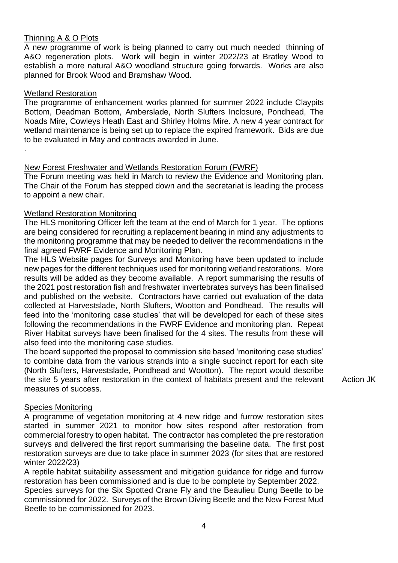## Thinning A & O Plots

A new programme of work is being planned to carry out much needed thinning of A&O regeneration plots. Work will begin in winter 2022/23 at Bratley Wood to establish a more natural A&O woodland structure going forwards. Works are also planned for Brook Wood and Bramshaw Wood.

#### Wetland Restoration

The programme of enhancement works planned for summer 2022 include Claypits Bottom, Deadman Bottom, Amberslade, North Slufters Inclosure, Pondhead, The Noads Mire, Cowleys Heath East and Shirley Holms Mire. A new 4 year contract for wetland maintenance is being set up to replace the expired framework. Bids are due to be evaluated in May and contracts awarded in June.

.

#### New Forest Freshwater and Wetlands Restoration Forum (FWRF)

The Forum meeting was held in March to review the Evidence and Monitoring plan. The Chair of the Forum has stepped down and the secretariat is leading the process to appoint a new chair.

## Wetland Restoration Monitoring

The HLS monitoring Officer left the team at the end of March for 1 year. The options are being considered for recruiting a replacement bearing in mind any adjustments to the monitoring programme that may be needed to deliver the recommendations in the final agreed FWRF Evidence and Monitoring Plan.

The HLS Website pages for Surveys and Monitoring have been updated to include new pages for the different techniques used for monitoring wetland restorations. More results will be added as they become available. A report summarising the results of the 2021 post restoration fish and freshwater invertebrates surveys has been finalised and published on the website. Contractors have carried out evaluation of the data collected at Harvestslade, North Slufters, Wootton and Pondhead. The results will feed into the 'monitoring case studies' that will be developed for each of these sites following the recommendations in the FWRF Evidence and monitoring plan. Repeat River Habitat surveys have been finalised for the 4 sites. The results from these will also feed into the monitoring case studies.

The board supported the proposal to commission site based 'monitoring case studies' to combine data from the various strands into a single succinct report for each site (North Slufters, Harvestslade, Pondhead and Wootton). The report would describe the site 5 years after restoration in the context of habitats present and the relevant measures of success.

Action JK

## Species Monitoring

A programme of vegetation monitoring at 4 new ridge and furrow restoration sites started in summer 2021 to monitor how sites respond after restoration from commercial forestry to open habitat. The contractor has completed the pre restoration surveys and delivered the first report summarising the baseline data. The first post restoration surveys are due to take place in summer 2023 (for sites that are restored winter 2022/23)

A reptile habitat suitability assessment and mitigation guidance for ridge and furrow restoration has been commissioned and is due to be complete by September 2022. Species surveys for the Six Spotted Crane Fly and the Beaulieu Dung Beetle to be commissioned for 2022. Surveys of the Brown Diving Beetle and the New Forest Mud Beetle to be commissioned for 2023.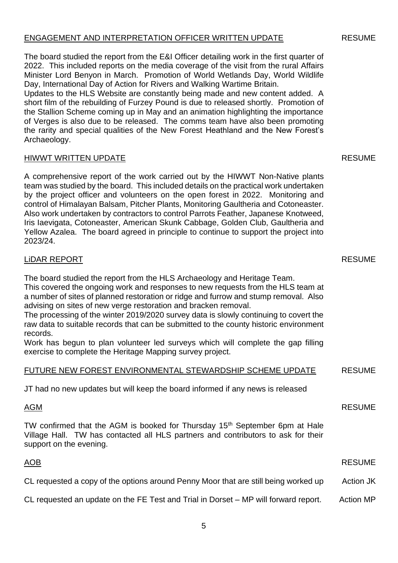# ENGAGEMENT AND INTERPRETATION OFFICER WRITTEN UPDATE

The board studied the report from the E&I Officer detailing work in the first quarter of 2022. This included reports on the media coverage of the visit from the rural Affairs Minister Lord Benyon in March. Promotion of World Wetlands Day, World Wildlife Day, International Day of Action for Rivers and Walking Wartime Britain.

Updates to the HLS Website are constantly being made and new content added. A short film of the rebuilding of Furzey Pound is due to released shortly. Promotion of the Stallion Scheme coming up in May and an animation highlighting the importance of Verges is also due to be released. The comms team have also been promoting the rarity and special qualities of the New Forest Heathland and the New Forest's Archaeology.

## HIWWT WRITTEN UPDATE

A comprehensive report of the work carried out by the HIWWT Non-Native plants team was studied by the board. This included details on the practical work undertaken by the project officer and volunteers on the open forest in 2022. Monitoring and control of Himalayan Balsam, Pitcher Plants, Monitoring Gaultheria and Cotoneaster. Also work undertaken by contractors to control Parrots Feather, Japanese Knotweed, Iris Iaevigata, Cotoneaster, American Skunk Cabbage, Golden Club, Gaultheria and Yellow Azalea. The board agreed in principle to continue to support the project into 2023/24.

#### LiDAR REPORT

 $\overline{A}$   $\overline{A}$   $\overline{A}$   $\overline{A}$ 

The board studied the report from the HLS Archaeology and Heritage Team. This covered the ongoing work and responses to new requests from the HLS team at a number of sites of planned restoration or ridge and furrow and stump removal. Also advising on sites of new verge restoration and bracken removal.

The processing of the winter 2019/2020 survey data is slowly continuing to covert the raw data to suitable records that can be submitted to the county historic environment records.

Work has begun to plan volunteer led surveys which will complete the gap filling exercise to complete the Heritage Mapping survey project.

#### FUTURE NEW FOREST ENVIRONMENTAL STEWARDSHIP SCHEME UPDATE **RESUME**

JT had no new updates but will keep the board informed if any news is released

| <u>AGM</u>                                                                                                                                                                                              | <b>RESUME</b>    |
|---------------------------------------------------------------------------------------------------------------------------------------------------------------------------------------------------------|------------------|
| TW confirmed that the AGM is booked for Thursday 15 <sup>th</sup> September 6pm at Hale<br>Village Hall. TW has contacted all HLS partners and contributors to ask for their<br>support on the evening. |                  |
| AOB                                                                                                                                                                                                     | <b>RESUME</b>    |
| CL requested a copy of the options around Penny Moor that are still being worked up                                                                                                                     | <b>Action JK</b> |
| CL requested an update on the FE Test and Trial in Dorset - MP will forward report.                                                                                                                     | <b>Action MP</b> |

**RESUME** 

 $\blacksquare$   $\blacksquare$   $\blacksquare$   $\blacksquare$   $\blacksquare$   $\blacksquare$   $\blacksquare$   $\blacksquare$   $\blacksquare$   $\blacksquare$   $\blacksquare$   $\blacksquare$   $\blacksquare$   $\blacksquare$   $\blacksquare$   $\blacksquare$   $\blacksquare$   $\blacksquare$   $\blacksquare$   $\blacksquare$   $\blacksquare$   $\blacksquare$   $\blacksquare$   $\blacksquare$   $\blacksquare$   $\blacksquare$   $\blacksquare$   $\blacksquare$   $\blacksquare$   $\blacksquare$   $\blacksquare$   $\blacks$